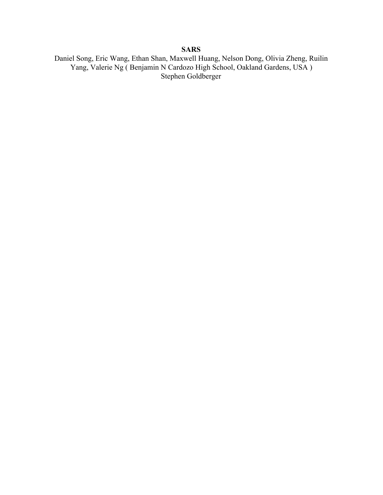# **SARS**

Daniel Song, Eric Wang, Ethan Shan, Maxwell Huang, Nelson Dong, Olivia Zheng, Ruilin Yang, Valerie Ng ( Benjamin N Cardozo High School, Oakland Gardens, USA ) Stephen Goldberger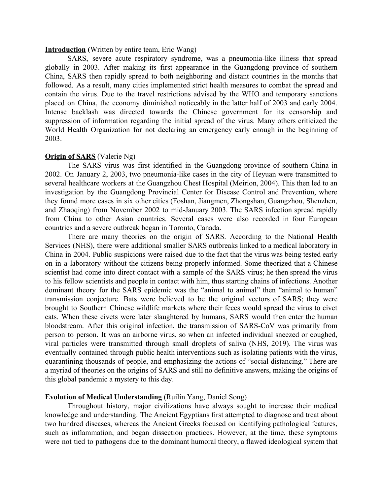## **Introduction (**Written by entire team, Eric Wang)

SARS, severe acute respiratory syndrome, was a pneumonia-like illness that spread globally in 2003. After making its first appearance in the Guangdong province of southern China, SARS then rapidly spread to both neighboring and distant countries in the months that followed. As a result, many cities implemented strict health measures to combat the spread and contain the virus. Due to the travel restrictions advised by the WHO and temporary sanctions placed on China, the economy diminished noticeably in the latter half of 2003 and early 2004. Intense backlash was directed towards the Chinese government for its censorship and suppression of information regarding the initial spread of the virus. Many others criticized the World Health Organization for not declaring an emergency early enough in the beginning of 2003.

## **Origin of SARS** (Valerie Ng)

The SARS virus was first identified in the Guangdong province of southern China in 2002. On January 2, 2003, two pneumonia-like cases in the city of Heyuan were transmitted to several healthcare workers at the Guangzhou Chest Hospital (Meirion, 2004). This then led to an investigation by the Guangdong Provincial Center for Disease Control and Prevention, where they found more cases in six other cities (Foshan, Jiangmen, Zhongshan, Guangzhou, Shenzhen, and Zhaoqing) from November 2002 to mid-January 2003. The SARS infection spread rapidly from China to other Asian countries. Several cases were also recorded in four European countries and a severe outbreak began in Toronto, Canada.

There are many theories on the origin of SARS. According to the National Health Services (NHS), there were additional smaller SARS outbreaks linked to a medical laboratory in China in 2004. Public suspicions were raised due to the fact that the virus was being tested early on in a laboratory without the citizens being properly informed. Some theorized that a Chinese scientist had come into direct contact with a sample of the SARS virus; he then spread the virus to his fellow scientists and people in contact with him, thus starting chains of infections. Another dominant theory for the SARS epidemic was the "animal to animal" then "animal to human" transmission conjecture. Bats were believed to be the original vectors of SARS; they were brought to Southern Chinese wildlife markets where their feces would spread the virus to civet cats. When these civets were later slaughtered by humans, SARS would then enter the human bloodstream. After this original infection, the transmission of SARS-CoV was primarily from person to person. It was an airborne virus, so when an infected individual sneezed or coughed, viral particles were transmitted through small droplets of saliva (NHS, 2019). The virus was eventually contained through public health interventions such as isolating patients with the virus, quarantining thousands of people, and emphasizing the actions of "social distancing." There are a myriad of theories on the origins of SARS and still no definitive answers, making the origins of this global pandemic a mystery to this day.

## **Evolution of Medical Understanding** (Ruilin Yang, Daniel Song)

Throughout history, major civilizations have always sought to increase their medical knowledge and understanding. The Ancient Egyptians first attempted to diagnose and treat about two hundred diseases, whereas the Ancient Greeks focused on identifying pathological features, such as inflammation, and began dissection practices. However, at the time, these symptoms were not tied to pathogens due to the dominant humoral theory, a flawed ideological system that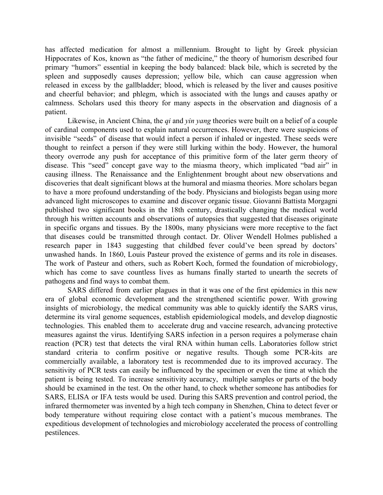has affected medication for almost a millennium. Brought to light by Greek physician Hippocrates of Kos, known as "the father of medicine," the theory of humorism described four primary "humors" essential in keeping the body balanced: black bile, which is secreted by the spleen and supposedly causes depression; yellow bile, which can cause aggression when released in excess by the gallbladder; blood, which is released by the liver and causes positive and cheerful behavior; and phlegm, which is associated with the lungs and causes apathy or calmness. Scholars used this theory for many aspects in the observation and diagnosis of a patient.

Likewise, in Ancient China, the *qi* and *yin yang* theories were built on a belief of a couple of cardinal components used to explain natural occurrences. However, there were suspicions of invisible "seeds" of disease that would infect a person if inhaled or ingested. These seeds were thought to reinfect a person if they were still lurking within the body. However, the humoral theory overrode any push for acceptance of this primitive form of the later germ theory of disease. This "seed" concept gave way to the miasma theory, which implicated "bad air" in causing illness. The Renaissance and the Enlightenment brought about new observations and discoveries that dealt significant blows at the humoral and miasma theories. More scholars began to have a more profound understanding of the body. Physicians and biologists began using more advanced light microscopes to examine and discover organic tissue. Giovanni Battista Morgagni published two significant books in the 18th century, drastically changing the medical world through his written accounts and observations of autopsies that suggested that diseases originate in specific organs and tissues. By the 1800s, many physicians were more receptive to the fact that diseases could be transmitted through contact. Dr. Oliver Wendell Holmes published a research paper in 1843 suggesting that childbed fever could've been spread by doctors' unwashed hands. In 1860, Louis Pasteur proved the existence of germs and its role in diseases. The work of Pasteur and others, such as Robert Koch, formed the foundation of microbiology, which has come to save countless lives as humans finally started to unearth the secrets of pathogens and find ways to combat them.

SARS differed from earlier plagues in that it was one of the first epidemics in this new era of global economic development and the strengthened scientific power. With growing insights of microbiology, the medical community was able to quickly identify the SARS virus, determine its viral genome sequences, establish epidemiological models, and develop diagnostic technologies. This enabled them to accelerate drug and vaccine research, advancing protective measures against the virus. Identifying SARS infection in a person requires a polymerase chain reaction (PCR) test that detects the viral RNA within human cells. Laboratories follow strict standard criteria to confirm positive or negative results. Though some PCR-kits are commercially available, a laboratory test is recommended due to its improved accuracy. The sensitivity of PCR tests can easily be influenced by the specimen or even the time at which the patient is being tested. To increase sensitivity accuracy, multiple samples or parts of the body should be examined in the test. On the other hand, to check whether someone has antibodies for SARS, ELISA or IFA tests would be used. During this SARS prevention and control period, the infrared thermometer was invented by a high tech company in Shenzhen, China to detect fever or body temperature without requiring close contact with a patient's mucous membranes. The expeditious development of technologies and microbiology accelerated the process of controlling pestilences.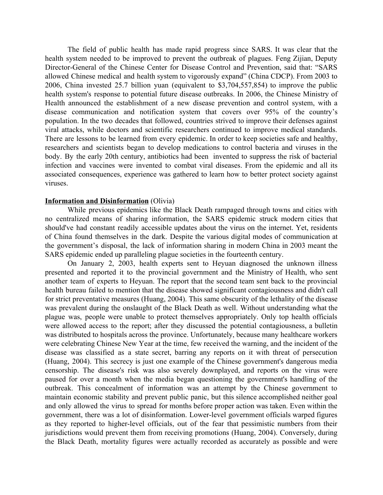The field of public health has made rapid progress since SARS. It was clear that the health system needed to be improved to prevent the outbreak of plagues. Feng Zijian, Deputy Director-General of the Chinese Center for Disease Control and Prevention, said that: "SARS allowed Chinese medical and health system to vigorously expand" (China CDCP). From 2003 to 2006, China invested 25.7 billion yuan (equivalent to \$3,704,557,854) to improve the public health system's response to potential future disease outbreaks. In 2006, the Chinese Ministry of Health announced the establishment of a new disease prevention and control system, with a disease communication and notification system that covers over 95% of the country's population. In the two decades that followed, countries strived to improve their defenses against viral attacks, while doctors and scientific researchers continued to improve medical standards. There are lessons to be learned from every epidemic. In order to keep societies safe and healthy, researchers and scientists began to develop medications to control bacteria and viruses in the body. By the early 20th century, antibiotics had been invented to suppress the risk of bacterial infection and vaccines were invented to combat viral diseases. From the epidemic and all its associated consequences, experience was gathered to learn how to better protect society against viruses.

#### **Information and Disinformation** (Olivia)

While previous epidemics like the Black Death rampaged through towns and cities with no centralized means of sharing information, the SARS epidemic struck modern cities that should've had constant readily accessible updates about the virus on the internet. Yet, residents of China found themselves in the dark. Despite the various digital modes of communication at the government's disposal, the lack of information sharing in modern China in 2003 meant the SARS epidemic ended up paralleling plague societies in the fourteenth century.

On January 2, 2003, health experts sent to Heyuan diagnosed the unknown illness presented and reported it to the provincial government and the Ministry of Health, who sent another team of experts to Heyuan. The report that the second team sent back to the provincial health bureau failed to mention that the disease showed significant contagiousness and didn't call for strict preventative measures (Huang, 2004). This same obscurity of the lethality of the disease was prevalent during the onslaught of the Black Death as well. Without understanding what the plague was, people were unable to protect themselves appropriately. Only top health officials were allowed access to the report; after they discussed the potential contagiousness, a bulletin was distributed to hospitals across the province. Unfortunately, because many healthcare workers were celebrating Chinese New Year at the time, few received the warning, and the incident of the disease was classified as a state secret, barring any reports on it with threat of persecution (Huang, 2004). This secrecy is just one example of the Chinese government's dangerous media censorship. The disease's risk was also severely downplayed, and reports on the virus were paused for over a month when the media began questioning the government's handling of the outbreak. This concealment of information was an attempt by the Chinese government to maintain economic stability and prevent public panic, but this silence accomplished neither goal and only allowed the virus to spread for months before proper action was taken. Even within the government, there was a lot of disinformation. Lower-level government officials warped figures as they reported to higher-level officials, out of the fear that pessimistic numbers from their jurisdictions would prevent them from receiving promotions (Huang, 2004). Conversely, during the Black Death, mortality figures were actually recorded as accurately as possible and were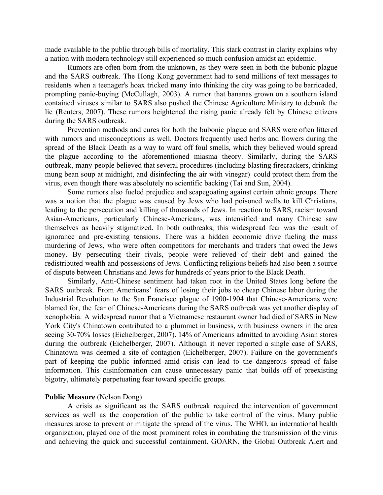made available to the public through bills of mortality. This stark contrast in clarity explains why a nation with modern technology still experienced so much confusion amidst an epidemic.

Rumors are often born from the unknown, as they were seen in both the bubonic plague and the SARS outbreak. The Hong Kong government had to send millions of text messages to residents when a teenager's hoax tricked many into thinking the city was going to be barricaded, prompting panic-buying (McCullagh, 2003). A rumor that bananas grown on a southern island contained viruses similar to SARS also pushed the Chinese Agriculture Ministry to debunk the lie (Reuters, 2007). These rumors heightened the rising panic already felt by Chinese citizens during the SARS outbreak.

Prevention methods and cures for both the bubonic plague and SARS were often littered with rumors and misconceptions as well. Doctors frequently used herbs and flowers during the spread of the Black Death as a way to ward off foul smells, which they believed would spread the plague according to the aforementioned miasma theory. Similarly, during the SARS outbreak, many people believed that several procedures (including blasting firecrackers, drinking mung bean soup at midnight, and disinfecting the air with vinegar) could protect them from the virus, even though there was absolutely no scientific backing (Tai and Sun, 2004).

Some rumors also fueled prejudice and scapegoating against certain ethnic groups. There was a notion that the plague was caused by Jews who had poisoned wells to kill Christians, leading to the persecution and killing of thousands of Jews. In reaction to SARS, racism toward Asian-Americans, particularly Chinese-Americans, was intensified and many Chinese saw themselves as heavily stigmatized. In both outbreaks, this widespread fear was the result of ignorance and pre-existing tensions. There was a hidden economic drive fueling the mass murdering of Jews, who were often competitors for merchants and traders that owed the Jews money. By persecuting their rivals, people were relieved of their debt and gained the redistributed wealth and possessions of Jews. Conflicting religious beliefs had also been a source of dispute between Christians and Jews for hundreds of years prior to the Black Death.

Similarly, Anti-Chinese sentiment had taken root in the United States long before the SARS outbreak. From Americans' fears of losing their jobs to cheap Chinese labor during the Industrial Revolution to the San Francisco plague of 1900-1904 that Chinese-Americans were blamed for, the fear of Chinese-Americans during the SARS outbreak was yet another display of xenophobia. A widespread rumor that a Vietnamese restaurant owner had died of SARS in New York City's Chinatown contributed to a plummet in business, with business owners in the area seeing 30-70% losses (Eichelberger, 2007). 14% of Americans admitted to avoiding Asian stores during the outbreak (Eichelberger, 2007). Although it never reported a single case of SARS, Chinatown was deemed a site of contagion (Eichelberger, 2007). Failure on the government's part of keeping the public informed amid crisis can lead to the dangerous spread of false information. This disinformation can cause unnecessary panic that builds off of preexisting bigotry, ultimately perpetuating fear toward specific groups.

## **Public Measure** (Nelson Dong)

A crisis as significant as the SARS outbreak required the intervention of government services as well as the cooperation of the public to take control of the virus. Many public measures arose to prevent or mitigate the spread of the virus. The WHO, an international health organization, played one of the most prominent roles in combating the transmission of the virus and achieving the quick and successful containment. GOARN, the Global Outbreak Alert and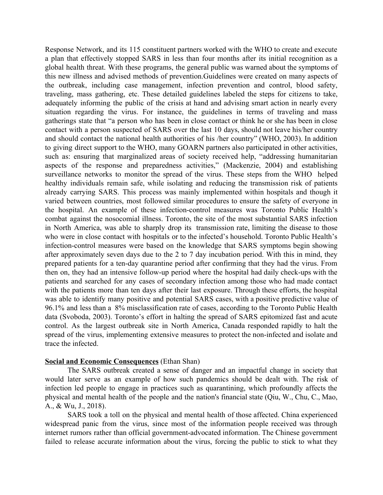Response Network, and its 115 constituent partners worked with the WHO to create and execute a plan that effectively stopped SARS in less than four months after its initial recognition as a global health threat. With these programs, the general public was warned about the symptoms of this new illness and advised methods of prevention.Guidelines were created on many aspects of the outbreak, including case management, infection prevention and control, blood safety, traveling, mass gathering, etc. These detailed guidelines labeled the steps for citizens to take, adequately informing the public of the crisis at hand and advising smart action in nearly every situation regarding the virus. For instance, the guidelines in terms of traveling and mass gatherings state that "a person who has been in close contact or think he or she has been in close contact with a person suspected of SARS over the last 10 days, should not leave his/her country and should contact the national health authorities of his /her country" (WHO, 2003). In addition to giving direct support to the WHO, many GOARN partners also participated in other activities, such as: ensuring that marginalized areas of society received help, "addressing humanitarian aspects of the response and preparedness activities," (Mackenzie, 2004) and establishing surveillance networks to monitor the spread of the virus. These steps from the WHO helped healthy individuals remain safe, while isolating and reducing the transmission risk of patients already carrying SARS. This process was mainly implemented within hospitals and though it varied between countries, most followed similar procedures to ensure the safety of everyone in the hospital. An example of these infection-control measures was Toronto Public Health's combat against the nosocomial illness. Toronto, the site of the most substantial SARS infection in North America, was able to sharply drop its transmission rate, limiting the disease to those who were in close contact with hospitals or to the infected's household. Toronto Public Health's infection-control measures were based on the knowledge that SARS symptoms begin showing after approximately seven days due to the 2 to 7 day incubation period. With this in mind, they prepared patients for a ten-day quarantine period after confirming that they had the virus. From then on, they had an intensive follow-up period where the hospital had daily check-ups with the patients and searched for any cases of secondary infection among those who had made contact with the patients more than ten days after their last exposure. Through these efforts, the hospital was able to identify many positive and potential SARS cases, with a positive predictive value of 96.1% and less than a 8% misclassification rate of cases, according to the Toronto Public Health data (Svoboda, 2003). Toronto's effort in halting the spread of SARS epitomized fast and acute control. As the largest outbreak site in North America, Canada responded rapidly to halt the spread of the virus, implementing extensive measures to protect the non-infected and isolate and trace the infected.

## **Social and Economic Consequences** (Ethan Shan)

The SARS outbreak created a sense of danger and an impactful change in society that would later serve as an example of how such pandemics should be dealt with. The risk of infection led people to engage in practices such as quarantining, which profoundly affects the physical and mental health of the people and the nation's financial state (Qiu, W., Chu, C., Mao, A., & Wu, J., 2018).

SARS took a toll on the physical and mental health of those affected. China experienced widespread panic from the virus, since most of the information people received was through internet rumors rather than official government-advocated information. The Chinese government failed to release accurate information about the virus, forcing the public to stick to what they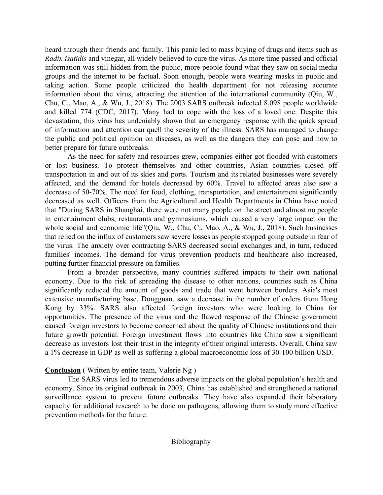heard through their friends and family. This panic led to mass buying of drugs and items such as *Radix isatidis* and vinegar, all widely believed to cure the virus. As more time passed and official information was still hidden from the public, more people found what they saw on social media groups and the internet to be factual. Soon enough, people were wearing masks in public and taking action. Some people criticized the health department for not releasing accurate information about the virus, attracting the attention of the international community (Qiu, W., Chu, C., Mao, A., & Wu, J., 2018). The 2003 SARS outbreak infected 8,098 people worldwide and killed 774 (CDC, 2017). Many had to cope with the loss of a loved one. Despite this devastation, this virus has undeniably shown that an emergency response with the quick spread of information and attention can quell the severity of the illness. SARS has managed to change the public and political opinion on diseases, as well as the dangers they can pose and how to better prepare for future outbreaks.

As the need for safety and resources grew, companies either got flooded with customers or lost business. To protect themselves and other countries, Asian countries closed off transportation in and out of its skies and ports. Tourism and its related businesses were severely affected, and the demand for hotels decreased by 60%. Travel to affected areas also saw a decrease of 50-70%. The need for food, clothing, transportation, and entertainment significantly decreased as well. Officers from the Agricultural and Health Departments in China have noted that "During SARS in Shanghai, there were not many people on the street and almost no people in entertainment clubs, restaurants and gymnasiums, which caused a very large impact on the whole social and economic life"(Qiu, W., Chu, C., Mao, A., & Wu, J., 2018). Such businesses that relied on the influx of customers saw severe losses as people stopped going outside in fear of the virus. The anxiety over contracting SARS decreased social exchanges and, in turn, reduced families' incomes. The demand for virus prevention products and healthcare also increased, putting further financial pressure on families.

From a broader perspective, many countries suffered impacts to their own national economy. Due to the risk of spreading the disease to other nations, countries such as China significantly reduced the amount of goods and trade that went between borders. Asia's most extensive manufacturing base, Dongguan, saw a decrease in the number of orders from Hong Kong by 33%. SARS also affected foreign investors who were looking to China for opportunities. The presence of the virus and the flawed response of the Chinese government caused foreign investors to become concerned about the quality of Chinese institutions and their future growth potential. Foreign investment flows into countries like China saw a significant decrease as investors lost their trust in the integrity of their original interests. Overall, China saw a 1% decrease in GDP as well as suffering a global macroeconomic loss of 30-100 billion USD.

## **Conclusion** ( Written by entire team, Valerie Ng )

The SARS virus led to tremendous adverse impacts on the global population's health and economy. Since its original outbreak in 2003, China has established and strengthened a national surveillance system to prevent future outbreaks. They have also expanded their laboratory capacity for additional research to be done on pathogens, allowing them to study more effective prevention methods for the future.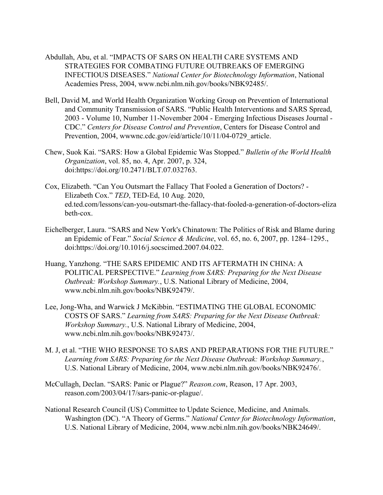- Abdullah, Abu, et al. "IMPACTS OF SARS ON HEALTH CARE SYSTEMS AND STRATEGIES FOR COMBATING FUTURE OUTBREAKS OF EMERGING INFECTIOUS DISEASES." *National Center for Biotechnology Information*, National Academies Press, 2004, www.ncbi.nlm.nih.gov/books/NBK92485/.
- Bell, David M, and World Health Organization Working Group on Prevention of International and Community Transmission of SARS. "Public Health Interventions and SARS Spread, 2003 - Volume 10, Number 11-November 2004 - Emerging Infectious Diseases Journal - CDC." *Centers for Disease Control and Prevention*, Centers for Disease Control and Prevention, 2004, wwwnc.cdc.gov/eid/article/10/11/04-0729 article.
- Chew, Suok Kai. "SARS: How a Global Epidemic Was Stopped." *Bulletin of the World Health Organization*, vol. 85, no. 4, Apr. 2007, p. 324, doi:https://doi.org/10.2471/BLT.07.032763.
- Cox, Elizabeth. "Can You Outsmart the Fallacy That Fooled a Generation of Doctors? Elizabeth Cox." *TED*, TED-Ed, 10 Aug. 2020, ed.ted.com/lessons/can-you-outsmart-the-fallacy-that-fooled-a-generation-of-doctors-eliza beth-cox.
- Eichelberger, Laura. "SARS and New York's Chinatown: The Politics of Risk and Blame during an Epidemic of Fear." *Social Science & Medicine*, vol. 65, no. 6, 2007, pp. 1284–1295., doi:https://doi.org/10.1016/j.socscimed.2007.04.022.
- Huang, Yanzhong. "THE SARS EPIDEMIC AND ITS AFTERMATH IN CHINA: A POLITICAL PERSPECTIVE." *Learning from SARS: Preparing for the Next Disease Outbreak: Workshop Summary.*, U.S. National Library of Medicine, 2004, www.ncbi.nlm.nih.gov/books/NBK92479/.
- Lee, Jong-Wha, and Warwick J McKibbin. "ESTIMATING THE GLOBAL ECONOMIC COSTS OF SARS." *Learning from SARS: Preparing for the Next Disease Outbreak: Workshop Summary.*, U.S. National Library of Medicine, 2004, www.ncbi.nlm.nih.gov/books/NBK92473/.
- M. J, et al. "THE WHO RESPONSE TO SARS AND PREPARATIONS FOR THE FUTURE." *Learning from SARS: Preparing for the Next Disease Outbreak: Workshop Summary.*, U.S. National Library of Medicine, 2004, www.ncbi.nlm.nih.gov/books/NBK92476/.
- McCullagh, Declan. "SARS: Panic or Plague?" *Reason.com*, Reason, 17 Apr. 2003, reason.com/2003/04/17/sars-panic-or-plague/.
- National Research Council (US) Committee to Update Science, Medicine, and Animals. Washington (DC). "A Theory of Germs." *National Center for Biotechnology Information*, U.S. National Library of Medicine, 2004, www.ncbi.nlm.nih.gov/books/NBK24649/.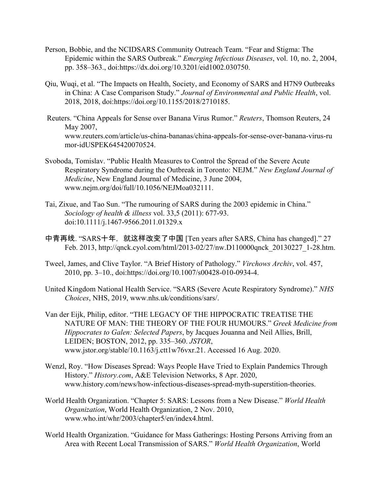- Person, Bobbie, and the NCIDSARS Community Outreach Team. "Fear and Stigma: The Epidemic within the SARS Outbreak." *Emerging Infectious Diseases*, vol. 10, no. 2, 2004, pp. 358–363., doi:https://dx.doi.org/10.3201/eid1002.030750.
- Qiu, Wuqi, et al. "The Impacts on Health, Society, and Economy of SARS and H7N9 Outbreaks in China: A Case Comparison Study." *Journal of Environmental and Public Health*, vol. 2018, 2018, doi:https://doi.org/10.1155/2018/2710185.
- Reuters. "China Appeals for Sense over Banana Virus Rumor." *Reuters*, Thomson Reuters, 24 May 2007, www.reuters.com/article/us-china-bananas/china-appeals-for-sense-over-banana-virus-ru mor-idUSPEK645420070524.
- Svoboda, Tomislav. "Public Health Measures to Control the Spread of the Severe Acute Respiratory Syndrome during the Outbreak in Toronto: NEJM." *New England Journal of Medicine*, New England Journal of Medicine, 3 June 2004, www.nejm.org/doi/full/10.1056/NEJMoa032111.
- Tai, Zixue, and Tao Sun. "The rumouring of SARS during the 2003 epidemic in China." *Sociology of health & illness* vol. 33,5 (2011): 677-93. doi:10.1111/j.1467-9566.2011.01329.x
- 中青再线. "SARS十年, 就这样改变了中国 [Ten years after SARS, China has changed]." 27 Feb. 2013, http://qnck.cyol.com/html/2013-02/27/nw.D110000qnck\_20130227\_1-28.htm.
- Tweel, James, and Clive Taylor. "A Brief History of Pathology." *Virchows Archiv*, vol. 457, 2010, pp. 3–10., doi:https://doi.org/10.1007/s00428-010-0934-4.
- United Kingdom National Health Service. "SARS (Severe Acute Respiratory Syndrome)." *NHS Choices*, NHS, 2019, www.nhs.uk/conditions/sars/.
- Van der Eijk, Philip, editor. "THE LEGACY OF THE HIPPOCRATIC TREATISE THE NATURE OF MAN: THE THEORY OF THE FOUR HUMOURS." *Greek Medicine from Hippocrates to Galen: Selected Papers*, by Jacques Jouanna and Neil Allies, Brill, LEIDEN; BOSTON, 2012, pp. 335–360. *JSTOR*, www.jstor.org/stable/10.1163/j.ctt1w76vxr.21. Accessed 16 Aug. 2020.
- Wenzl, Roy. "How Diseases Spread: Ways People Have Tried to Explain Pandemics Through History." *History.com*, A&E Television Networks, 8 Apr. 2020, www.history.com/news/how-infectious-diseases-spread-myth-superstition-theories.
- World Health Organization. "Chapter 5: SARS: Lessons from a New Disease." *World Health Organization*, World Health Organization, 2 Nov. 2010, www.who.int/whr/2003/chapter5/en/index4.html.
- World Health Organization. "Guidance for Mass Gatherings: Hosting Persons Arriving from an Area with Recent Local Transmission of SARS." *World Health Organization*, World